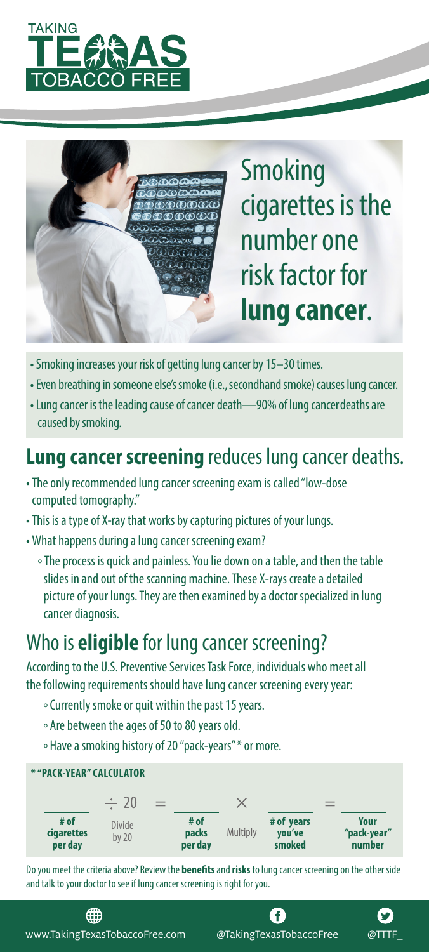



Smoking cigarettes is the number one risk factor for **lung cancer**.

- •Smoking increases your risk of getting lung cancer by 15–30 times.
- •Even breathing in someone else's smoke (i.e., secondhand smoke) causes lung cancer.
- •Lung cancer is the leading cause of cancer death—90% of lung cancer deaths are caused by smoking.

## **Lung cancer screening** reduces lung cancer deaths.

- •The only recommended lung cancer screening exam is called "low-dose computed tomography."
- •This is a type of X-ray that works by capturing pictures of your lungs.
- •What happens during a lung cancer screening exam?
	- ° The process is quick and painless. You lie down on a table, and then the table slides in and out of the scanning machine. These X-rays create a detailed picture of your lungs. They are then examined by a doctor specialized in lung cancer diagnosis.

## Who is **eligible** for lung cancer screening?

According to the U.S. Preventive Services Task Force, individuals who meet all the following requirements should have lung cancer screening every year:

- ° Currently smoke or quit within the past 15 years.
- ° Are between the ages of 50 to 80 years old.
- ° Have a smoking history of 20 "pack-years"\* or more.



Do you meet the criteria above? Review the **benefits** and **risks** to lung cancer screening on the other side and talk to your doctor to see if lung cancer screening is right for you.

www.TakingTexasTobaccoFree.com @TakingTexasTobaccoFree @TTTF\_

∰

A